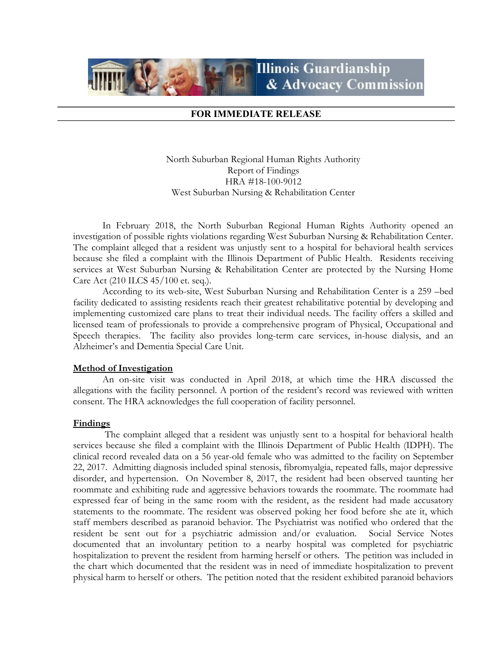

## FOR IMMEDIATE RELEASE

North Suburban Regional Human Rights Authority Report of Findings HRA #18-100-9012 West Suburban Nursing & Rehabilitation Center

 In February 2018, the North Suburban Regional Human Rights Authority opened an investigation of possible rights violations regarding West Suburban Nursing & Rehabilitation Center. The complaint alleged that a resident was unjustly sent to a hospital for behavioral health services because she filed a complaint with the Illinois Department of Public Health. Residents receiving services at West Suburban Nursing & Rehabilitation Center are protected by the Nursing Home Care Act (210 ILCS 45/100 et. seq.).

 According to its web-site, West Suburban Nursing and Rehabilitation Center is a 259 –bed facility dedicated to assisting residents reach their greatest rehabilitative potential by developing and implementing customized care plans to treat their individual needs. The facility offers a skilled and licensed team of professionals to provide a comprehensive program of Physical, Occupational and Speech therapies. The facility also provides long-term care services, in-house dialysis, and an Alzheimer's and Dementia Special Care Unit.

## Method of Investigation

 An on-site visit was conducted in April 2018, at which time the HRA discussed the allegations with the facility personnel. A portion of the resident's record was reviewed with written consent. The HRA acknowledges the full cooperation of facility personnel.

## Findings

 The complaint alleged that a resident was unjustly sent to a hospital for behavioral health services because she filed a complaint with the Illinois Department of Public Health (IDPH). The clinical record revealed data on a 56 year-old female who was admitted to the facility on September 22, 2017. Admitting diagnosis included spinal stenosis, fibromyalgia, repeated falls, major depressive disorder, and hypertension. On November 8, 2017, the resident had been observed taunting her roommate and exhibiting rude and aggressive behaviors towards the roommate. The roommate had expressed fear of being in the same room with the resident, as the resident had made accusatory statements to the roommate. The resident was observed poking her food before she ate it, which staff members described as paranoid behavior. The Psychiatrist was notified who ordered that the resident be sent out for a psychiatric admission and/or evaluation. Social Service Notes documented that an involuntary petition to a nearby hospital was completed for psychiatric hospitalization to prevent the resident from harming herself or others. The petition was included in the chart which documented that the resident was in need of immediate hospitalization to prevent physical harm to herself or others. The petition noted that the resident exhibited paranoid behaviors